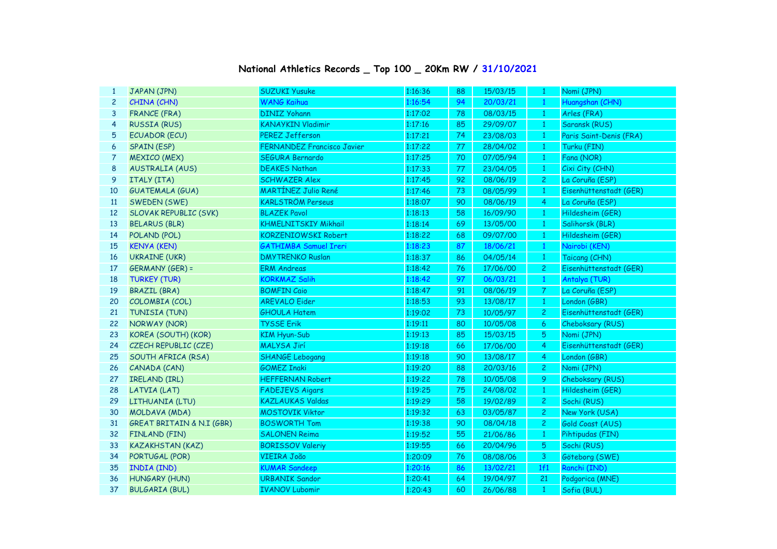| 1              | JAPAN (JPN)                          | <b>SUZUKI Yusuke</b>              | 1:16:36 | 88 | 15/03/15 | $\mathbf{1}$   | Nomi (JPN)              |
|----------------|--------------------------------------|-----------------------------------|---------|----|----------|----------------|-------------------------|
| $\overline{c}$ | CHINA (CHN)                          | <b>WANG Kaihua</b>                | 1:16:54 | 94 | 20/03/21 | $\mathbf{1}$   | Huangshan (CHN)         |
| 3              | <b>FRANCE (FRA)</b>                  | <b>DINIZ Yohann</b>               | 1:17:02 | 78 | 08/03/15 | $\mathbf{1}$   | Arles (FRA)             |
| 4              | <b>RUSSIA (RUS)</b>                  | <b>KANAYKIN Vladimir</b>          | 1:17:16 | 85 | 29/09/07 | $\mathbf{1}$   | Saransk (RUS)           |
| 5              | <b>ECUADOR (ECU)</b>                 | <b>PEREZ Jefferson</b>            | 1:17:21 | 74 | 23/08/03 | $\mathbf{1}$   | Paris Saint-Denis (FRA) |
| 6              | <b>SPAIN (ESP)</b>                   | <b>FERNANDEZ Francisco Javier</b> | 1:17:22 | 77 | 28/04/02 | $\mathbf{1}$   | Turku (FIN)             |
| 7              | <b>MEXICO (MEX)</b>                  | SEGURA Bernardo                   | 1:17:25 | 70 | 07/05/94 | $\mathbf{1}$   | Fana (NOR)              |
| 8              | <b>AUSTRALIA (AUS)</b>               | <b>DEAKES Nathan</b>              | 1:17:33 | 77 | 23/04/05 | $\mathbf{1}$   | Cixi City (CHN)         |
| 9              | ITALY (ITA)                          | <b>SCHWAZER Alex</b>              | 1:17:45 | 92 | 08/06/19 | 2 <sup>1</sup> | La Coruña (ESP)         |
| 10             | <b>GUATEMALA (GUA)</b>               | <b>MARTÍNEZ Julio René</b>        | 1:17:46 | 73 | 08/05/99 | $\mathbf{1}$   | Eisenhüttenstadt (GER)  |
| <sup>11</sup>  | SWEDEN (SWE)                         | <b>KARLSTRÖM Perseus</b>          | 1:18:07 | 90 | 08/06/19 | 4              | La Coruña (ESP)         |
| 12             | <b>SLOVAK REPUBLIC (SVK)</b>         | <b>BLAZEK Pavol</b>               | 1:18:13 | 58 | 16/09/90 | $\mathbf{1}$   | Hildesheim (GER)        |
| 13             | <b>BELARUS (BLR)</b>                 | <b>KHMELNITSKIY Mikhail</b>       | 1:18:14 | 69 | 13/05/00 | $\mathbf{1}$   | Salihorsk (BLR)         |
| 14             | POLAND (POL)                         | <b>KORZENIOWSKI Robert</b>        | 1:18:22 | 68 | 09/07/00 | $\mathbf{1}$   | Hildesheim (GER)        |
| 15             | <b>KENYA (KEN)</b>                   | <b>GATHIMBA Samuel Ireri</b>      | 1:18:23 | 87 | 18/06/21 | $\mathbf{1}$   | Nairobi (KEN)           |
| 16             | <b>UKRAINE (UKR)</b>                 | <b>DMYTRENKO Ruslan</b>           | 1:18:37 | 86 | 04/05/14 | $\mathbf{1}$   | Taicang (CHN)           |
| 17             | GERMANY (GER) =                      | <b>ERM Andreas</b>                | 1:18:42 | 76 | 17/06/00 | $\overline{2}$ | Eisenhüttenstadt (GER)  |
| 18             | <b>TURKEY (TUR)</b>                  | <b>KORKMAZ Salih</b>              | 1:18:42 | 97 | 06/03/21 | $\mathbf{1}$   | Antalya (TUR)           |
| 19             | <b>BRAZIL (BRA)</b>                  | <b>BOMFIN Caio</b>                | 1:18:47 | 91 | 08/06/19 | $\mathbf{7}$   | La Coruña (ESP)         |
| 20             | COLOMBIA (COL)                       | <b>AREVALO Eider</b>              | 1:18:53 | 93 | 13/08/17 | $\mathbf{1}$   | London (GBR)            |
| 21             | TUNISIA (TUN)                        | <b>GHOULA Hatem</b>               | 1:19:02 | 73 | 10/05/97 | $\overline{2}$ | Eisenhüttenstadt (GER)  |
| 22             | <b>NORWAY (NOR)</b>                  | <b>TYSSE Erik</b>                 | 1:19:11 | 80 | 10/05/08 | 6              | Cheboksary (RUS)        |
| 23             | KOREA (SOUTH) (KOR)                  | <b>KIM Hyun-Sub</b>               | 1:19:13 | 85 | 15/03/15 | 5              | Nomi (JPN)              |
| 24             | CZECH REPUBLIC (CZE)                 | <b>MALYSA Jirí</b>                | 1:19:18 | 66 | 17/06/00 | 4              | Eisenhüttenstadt (GER)  |
| 25             | SOUTH AFRICA (RSA)                   | <b>SHANGE Lebogang</b>            | 1:19:18 | 90 | 13/08/17 | $\overline{4}$ | London (GBR)            |
| 26             | CANADA (CAN)                         | <b>GOMEZ Inaki</b>                | 1:19:20 | 88 | 20/03/16 | $\mathbf{2}$   | Nomi (JPN)              |
| 27             | IRELAND (IRL)                        | <b>HEFFERNAN Robert</b>           | 1:19:22 | 78 | 10/05/08 | 9              | Cheboksary (RUS)        |
| 28             | LATVIA (LAT)                         | <b>FADEJEVS Aigars</b>            | 1:19:25 | 75 | 24/08/02 | $\mathbf{1}$   | Hildesheim (GER)        |
| 29             | LITHUANIA (LTU)                      | <b>KAZLAUKAS Valdas</b>           | 1:19:29 | 58 | 19/02/89 | 2 <sup>1</sup> | Sochi (RUS)             |
| 30             | MOLDAVA (MDA)                        | <b>MOSTOVIK Viktor</b>            | 1:19:32 | 63 | 03/05/87 | $\mathbf{2}$   | New York (USA)          |
| 31             | <b>GREAT BRITAIN &amp; N.I (GBR)</b> | <b>BOSWORTH Tom</b>               | 1:19:38 | 90 | 08/04/18 | 2 <sup>1</sup> | Gold Coast (AUS)        |
| 32             | <b>FINLAND (FIN)</b>                 | <b>SALONEN Reima</b>              | 1:19:52 | 55 | 21/06/86 | $\mathbf{1}$   | Pihtipudas (FIN)        |
| 33             | <b>KAZAKHSTAN (KAZ)</b>              | <b>BORISSOV Valeriy</b>           | 1:19:55 | 66 | 20/04/96 | 5 <sub>5</sub> | Sochi (RUS)             |
| 34             | PORTUGAL (POR)                       | VIEIRA João                       | 1:20:09 | 76 | 08/08/06 | 3              | Göteborg (SWE)          |
| 35             | <b>INDIA (IND)</b>                   | <b>KUMAR Sandeep</b>              | 1:20:16 | 86 | 13/02/21 | 1f1            | Ranchi (IND)            |
| 36             | <b>HUNGARY (HUN)</b>                 | <b>URBANIK Sandor</b>             | 1:20:41 | 64 | 19/04/97 | 21             | Podgorica (MNE)         |
| 37             | <b>BULGARIA (BUL)</b>                | <b>IVANOV Lubomir</b>             | 1:20:43 | 60 | 26/06/88 | -1             | Sofia (BUL)             |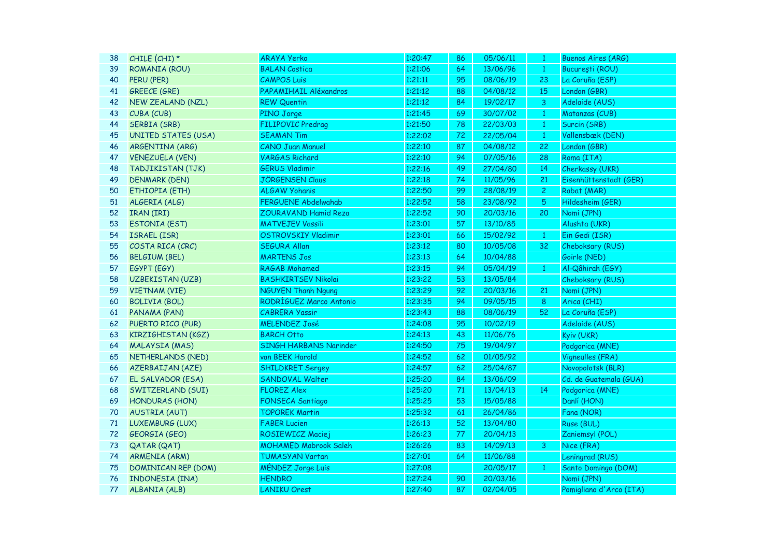| 38 | CHILE (CHI) *              | <b>ARAYA Yerko</b>           | 1:20:47 | 86 | 05/06/11 | $\mathbf{1}$   | <b>Buenos Aires (ARG)</b> |
|----|----------------------------|------------------------------|---------|----|----------|----------------|---------------------------|
| 39 | ROMANIA (ROU)              | <b>BALAN Costica</b>         | 1:21:06 | 64 | 13/06/96 | $\mathbf{1}$   | București (ROU)           |
| 40 | PERU (PER)                 | <b>CAMPOS Luis</b>           | 1:21:11 | 95 | 08/06/19 | 23             | La Coruña (ESP)           |
| 41 | <b>GREECE (GRE)</b>        | PAPAMIHAIL Aléxandros        | 1:21:12 | 88 | 04/08/12 | 15             | London (GBR)              |
| 42 | NEW ZEALAND (NZL)          | <b>REW Quentin</b>           | 1:21:12 | 84 | 19/02/17 | 3              | Adelaide (AUS)            |
| 43 | CUBA (CUB)                 | PINO Jorge                   | 1:21:45 | 69 | 30/07/02 | $\mathbf{1}$   | Matanzas (CUB)            |
| 44 | <b>SERBIA (SRB)</b>        | FILIPOVIC Predrag            | 1:21:50 | 78 | 22/03/03 | $\mathbf{1}$   | Surcin (SRB)              |
| 45 | <b>UNITED STATES (USA)</b> | <b>SEAMAN Tim</b>            | 1:22:02 | 72 | 22/05/04 | $\mathbf{1}$   | Vallensbæk (DEN)          |
| 46 | ARGENTINA (ARG)            | <b>CANO Juan Manuel</b>      | 1:22:10 | 87 | 04/08/12 | 22             | London (GBR)              |
| 47 | <b>VENEZUELA (VEN)</b>     | <b>VARGAS Richard</b>        | 1:22:10 | 94 | 07/05/16 | 28             | Roma (ITA)                |
| 48 | TADJIKISTAN (TJK)          | <b>GERUS Vladimir</b>        | 1:22:16 | 49 | 27/04/80 | 14             | Cherkassy (UKR)           |
| 49 | <b>DENMARK (DEN)</b>       | <b>JÖRGENSEN Claus</b>       | 1:22:18 | 74 | 11/05/96 | 21             | Eisenhüttenstadt (GER)    |
| 50 | ETHIOPIA (ETH)             | <b>ALGAW Yohanis</b>         | 1:22:50 | 99 | 28/08/19 | $\overline{2}$ | Rabat (MAR)               |
| 51 | ALGERIA (ALG)              | <b>FERGUENE Abdelwahab</b>   | 1:22:52 | 58 | 23/08/92 | 5              | Hildesheim (GER)          |
| 52 | IRAN (IRI)                 | ZOURAVAND Hamid Reza         | 1:22:52 | 90 | 20/03/16 | 20             | Nomi (JPN)                |
| 53 | <b>ESTONIA (EST)</b>       | <b>MATVEJEV Vassili</b>      | 1:23:01 | 57 | 13/10/85 |                | Alushta (UKR)             |
| 54 | ISRAEL (ISR)               | <b>OSTROVSKIY Vladimir</b>   | 1:23:01 | 66 | 15/02/92 | $\mathbf{1}$   | Ein Gedi (ISR)            |
| 55 | COSTA RICA (CRC)           | <b>SEGURA Allan</b>          | 1:23:12 | 80 | 10/05/08 | 32             | Cheboksary (RUS)          |
| 56 | <b>BELGIUM (BEL)</b>       | <b>MARTENS Jos</b>           | 1:23:13 | 64 | 10/04/88 |                | Goirle (NED)              |
| 57 | EGYPT (EGY)                | <b>RAGAB Mohamed</b>         | 1:23:15 | 94 | 05/04/19 | $\mathbf{1}$   | Al-Qâhirah (EGY)          |
| 58 | <b>UZBEKISTAN (UZB)</b>    | <b>BASHKIRTSEV Nikolai</b>   | 1:23:22 | 53 | 13/05/84 |                | Cheboksary (RUS)          |
| 59 | <b>VIETNAM (VIE)</b>       | <b>NGUYEN Thanh Ngung</b>    | 1:23:29 | 92 | 20/03/16 | 21             | Nomi (JPN)                |
| 60 | <b>BOLIVIA (BOL)</b>       | RODRÍGUEZ Marco Antonio      | 1:23:35 | 94 | 09/05/15 | 8              | Arica (CHI)               |
| 61 | PANAMA (PAN)               | <b>CABRERA Yassir</b>        | 1:23:43 | 88 | 08/06/19 | 52             | La Coruña (ESP)           |
| 62 | PUERTO RICO (PUR)          | <b>MELENDEZ José</b>         | 1:24:08 | 95 | 10/02/19 |                | Adelaide (AUS)            |
| 63 | <b>KIRZIGHISTAN (KGZ)</b>  | <b>BARCH Otto</b>            | 1:24:13 | 43 | 11/06/76 |                | Kyiv (UKR)                |
| 64 | <b>MALAYSIA (MAS)</b>      | SINGH HARBANS Narinder       | 1:24:50 | 75 | 19/04/97 |                | Podgorica (MNE)           |
| 65 | NETHERLANDS (NED)          | van BEEK Harold              | 1:24:52 | 62 | 01/05/92 |                | Vigneulles (FRA)          |
| 66 | <b>AZERBAIJAN (AZE)</b>    | <b>SHILDKRET Sergey</b>      | 1:24:57 | 62 | 25/04/87 |                | Novopolotsk (BLR)         |
| 67 | EL SALVADOR (ESA)          | SANDOVAL Walter              | 1:25:20 | 84 | 13/06/09 |                | Cd. de Guatemala (GUA)    |
| 68 | SWITZERLAND (SUI)          | <b>FLOREZ Alex</b>           | 1:25:20 | 71 | 13/04/13 | 14             | Podgorica (MNE)           |
| 69 | <b>HONDURAS (HON)</b>      | FONSECA Santiago             | 1:25:25 | 53 | 15/05/88 |                | Danlí (HON)               |
| 70 | <b>AUSTRIA (AUT)</b>       | <b>TOPOREK Martin</b>        | 1:25:32 | 61 | 26/04/86 |                | Fana (NOR)                |
| 71 | LUXEMBURG (LUX)            | <b>FABER Lucien</b>          | 1:26:13 | 52 | 13/04/80 |                | Ruse (BUL)                |
| 72 | GEORGIA (GEO)              | ROSIEWICZ Maciej             | 1:26:23 | 77 | 20/04/13 |                | Zaniemsyl (POL)           |
| 73 | <b>QATAR (QAT)</b>         | <b>MOHAMED Mabrook Saleh</b> | 1:26:26 | 83 | 14/09/13 | 3              | Nice (FRA)                |
| 74 | <b>ARMENIA (ARM)</b>       | <b>TUMASYAN Vartan</b>       | 1:27:01 | 64 | 11/06/88 |                | Leningrad (RUS)           |
| 75 | <b>DOMINICAN REP (DOM)</b> | MÉNDEZ Jorge Luis            | 1:27:08 |    | 20/05/17 | $\mathbf{1}$   | Santo Domingo (DOM)       |
| 76 | <b>INDONESIA (INA)</b>     | <b>HENDRO</b>                | 1:27:24 | 90 | 20/03/16 |                | Nomi (JPN)                |
| 77 | ALBANIA (ALB)              | <b>LANIKU Orest</b>          | 1:27:40 | 87 | 02/04/05 |                | Pomigliano d'Arco (ITA)   |